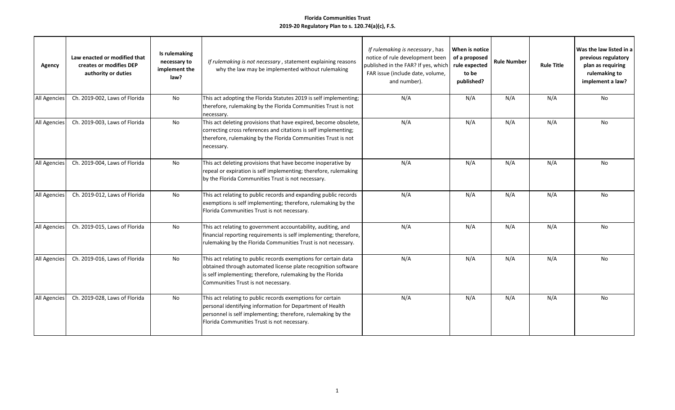| Agency              | Law enacted or modified that<br>creates or modifies DEP<br>authority or duties | Is rulemaking<br>necessary to<br>implement the<br>law? | If rulemaking is not necessary, statement explaining reasons<br>why the law may be implemented without rulemaking                                                                                                                      | If rulemaking is necessary, has<br>notice of rule development been<br>published in the FAR? If yes, which<br>FAR issue (include date, volume,<br>and number). | When is notice<br>of a proposed<br>rule expected<br>to be<br>published? | <b>Rule Number</b> | <b>Rule Title</b> | Was the law listed in a<br>previous regulatory<br>plan as requiring<br>rulemaking to<br>implement a law? |
|---------------------|--------------------------------------------------------------------------------|--------------------------------------------------------|----------------------------------------------------------------------------------------------------------------------------------------------------------------------------------------------------------------------------------------|---------------------------------------------------------------------------------------------------------------------------------------------------------------|-------------------------------------------------------------------------|--------------------|-------------------|----------------------------------------------------------------------------------------------------------|
| All Agencies        | Ch. 2019-002, Laws of Florida                                                  | <b>No</b>                                              | This act adopting the Florida Statutes 2019 is self implementing;<br>therefore, rulemaking by the Florida Communities Trust is not<br>necessary.                                                                                       | N/A                                                                                                                                                           | N/A                                                                     | N/A                | N/A               | <b>No</b>                                                                                                |
| All Agencies        | Ch. 2019-003, Laws of Florida                                                  | <b>No</b>                                              | This act deleting provisions that have expired, become obsolete,<br>correcting cross references and citations is self implementing;<br>therefore, rulemaking by the Florida Communities Trust is not<br>necessary.                     | N/A                                                                                                                                                           | N/A                                                                     | N/A                | N/A               | No                                                                                                       |
| All Agencies        | Ch. 2019-004, Laws of Florida                                                  | No                                                     | This act deleting provisions that have become inoperative by<br>repeal or expiration is self implementing; therefore, rulemaking<br>by the Florida Communities Trust is not necessary.                                                 | N/A                                                                                                                                                           | N/A                                                                     | N/A                | N/A               | No                                                                                                       |
| All Agencies        | Ch. 2019-012, Laws of Florida                                                  | No                                                     | This act relating to public records and expanding public records<br>exemptions is self implementing; therefore, rulemaking by the<br>Florida Communities Trust is not necessary.                                                       | N/A                                                                                                                                                           | N/A                                                                     | N/A                | N/A               | No                                                                                                       |
| All Agencies        | Ch. 2019-015, Laws of Florida                                                  | No                                                     | This act relating to government accountability, auditing, and<br>financial reporting requirements is self implementing; therefore,<br>rulemaking by the Florida Communities Trust is not necessary.                                    | N/A                                                                                                                                                           | N/A                                                                     | N/A                | N/A               | No                                                                                                       |
| <b>All Agencies</b> | Ch. 2019-016, Laws of Florida                                                  | No                                                     | This act relating to public records exemptions for certain data<br>obtained through automated license plate recognition software<br>is self implementing; therefore, rulemaking by the Florida<br>Communities Trust is not necessary.  | N/A                                                                                                                                                           | N/A                                                                     | N/A                | N/A               | No                                                                                                       |
| <b>All Agencies</b> | Ch. 2019-028, Laws of Florida                                                  | <b>No</b>                                              | This act relating to public records exemptions for certain<br>personal identifying information for Department of Health<br>personnel is self implementing; therefore, rulemaking by the<br>Florida Communities Trust is not necessary. | N/A                                                                                                                                                           | N/A                                                                     | N/A                | N/A               | No                                                                                                       |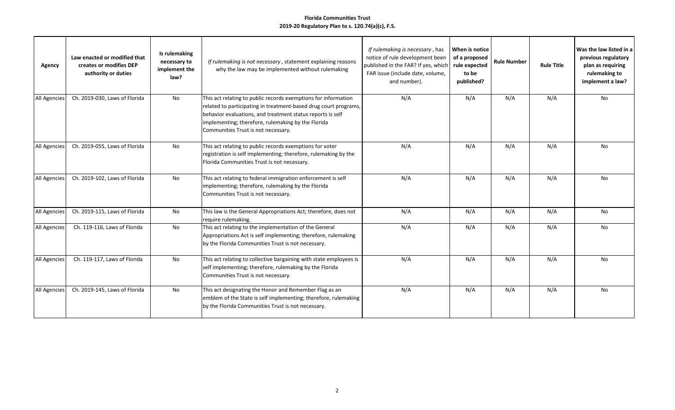| Agency       | Law enacted or modified that<br>creates or modifies DEP<br>authority or duties | Is rulemaking<br>necessary to<br>implement the<br>law? | If rulemaking is not necessary, statement explaining reasons<br>why the law may be implemented without rulemaking                                                                                                                                                                             | If rulemaking is necessary, has<br>notice of rule development been<br>published in the FAR? If yes, which<br>FAR issue (include date, volume,<br>and number). | When is notice<br>of a proposed<br>rule expected<br>to be<br>published? | <b>Rule Number</b> | <b>Rule Title</b> | Was the law listed in a<br>previous regulatory<br>plan as requiring<br>rulemaking to<br>implement a law? |
|--------------|--------------------------------------------------------------------------------|--------------------------------------------------------|-----------------------------------------------------------------------------------------------------------------------------------------------------------------------------------------------------------------------------------------------------------------------------------------------|---------------------------------------------------------------------------------------------------------------------------------------------------------------|-------------------------------------------------------------------------|--------------------|-------------------|----------------------------------------------------------------------------------------------------------|
| All Agencies | Ch. 2019-030, Laws of Florida                                                  | No                                                     | This act relating to public records exemptions for information<br>related to participating in treatment-based drug court programs,<br>behavior evaluations, and treatment status reports is self<br>implementing; therefore, rulemaking by the Florida<br>Communities Trust is not necessary. | N/A                                                                                                                                                           | N/A                                                                     | N/A                | N/A               | No                                                                                                       |
| All Agencies | Ch. 2019-055, Laws of Florida                                                  | <b>No</b>                                              | This act relating to public records exemptions for voter<br>registration is self implementing; therefore, rulemaking by the<br>Florida Communities Trust is not necessary.                                                                                                                    | N/A                                                                                                                                                           | N/A                                                                     | N/A                | N/A               | No.                                                                                                      |
| All Agencies | Ch. 2019-102, Laws of Florida                                                  | No                                                     | This act relating to federal immigration enforcement is self<br>implementing; therefore, rulemaking by the Florida<br>Communities Trust is not necessary.                                                                                                                                     | N/A                                                                                                                                                           | N/A                                                                     | N/A                | N/A               | No                                                                                                       |
| All Agencies | Ch. 2019-115, Laws of Florida                                                  | No                                                     | This law is the General Appropriations Act; therefore, does not<br>require rulemaking.                                                                                                                                                                                                        | N/A                                                                                                                                                           | N/A                                                                     | N/A                | N/A               | No                                                                                                       |
| All Agencies | Ch. 119-116, Laws of Florida                                                   | <b>No</b>                                              | This act relating to the implementation of the General<br>Appropriations Act is self implementing; therefore, rulemaking<br>by the Florida Communities Trust is not necessary.                                                                                                                | N/A                                                                                                                                                           | N/A                                                                     | N/A                | N/A               | <b>No</b>                                                                                                |
| All Agencies | Ch. 119-117, Laws of Florida                                                   | No                                                     | This act relating to collective bargaining with state employees is<br>self implementing; therefore, rulemaking by the Florida<br>Communities Trust is not necessary.                                                                                                                          | N/A                                                                                                                                                           | N/A                                                                     | N/A                | N/A               | No                                                                                                       |
| All Agencies | Ch. 2019-145, Laws of Florida                                                  | No                                                     | This act designating the Honor and Remember Flag as an<br>emblem of the State is self implementing; therefore, rulemaking<br>by the Florida Communities Trust is not necessary.                                                                                                               | N/A                                                                                                                                                           | N/A                                                                     | N/A                | N/A               | No                                                                                                       |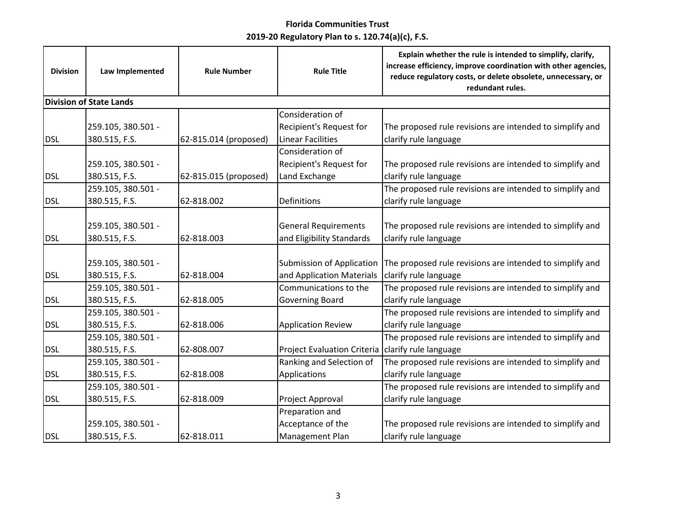| <b>Division</b> | Law Implemented                     | <b>Rule Number</b>    | <b>Rule Title</b>                                             | Explain whether the rule is intended to simplify, clarify,<br>increase efficiency, improve coordination with other agencies,<br>reduce regulatory costs, or delete obsolete, unnecessary, or<br>redundant rules. |
|-----------------|-------------------------------------|-----------------------|---------------------------------------------------------------|------------------------------------------------------------------------------------------------------------------------------------------------------------------------------------------------------------------|
|                 | <b>Division of State Lands</b>      |                       |                                                               |                                                                                                                                                                                                                  |
|                 | 259.105, 380.501 -                  |                       | Consideration of<br>Recipient's Request for                   | The proposed rule revisions are intended to simplify and                                                                                                                                                         |
| <b>DSL</b>      | 380.515, F.S.                       | 62-815.014 (proposed) | <b>Linear Facilities</b>                                      | clarify rule language                                                                                                                                                                                            |
|                 | 259.105, 380.501 -                  |                       | Consideration of<br>Recipient's Request for                   | The proposed rule revisions are intended to simplify and                                                                                                                                                         |
| <b>DSL</b>      | 380.515, F.S.                       | 62-815.015 (proposed) | Land Exchange                                                 | clarify rule language                                                                                                                                                                                            |
| <b>DSL</b>      | 259.105, 380.501 -<br>380.515, F.S. | 62-818.002            | Definitions                                                   | The proposed rule revisions are intended to simplify and<br>clarify rule language                                                                                                                                |
| <b>DSL</b>      | 259.105, 380.501 -<br>380.515, F.S. | 62-818.003            | <b>General Requirements</b><br>and Eligibility Standards      | The proposed rule revisions are intended to simplify and<br>clarify rule language                                                                                                                                |
| <b>DSL</b>      | 259.105, 380.501 -<br>380.515, F.S. | 62-818.004            | <b>Submission of Application</b><br>and Application Materials | The proposed rule revisions are intended to simplify and<br>clarify rule language                                                                                                                                |
| <b>DSL</b>      | 259.105, 380.501 -<br>380.515, F.S. | 62-818.005            | Communications to the<br><b>Governing Board</b>               | The proposed rule revisions are intended to simplify and<br>clarify rule language                                                                                                                                |
| <b>DSL</b>      | 259.105, 380.501 -<br>380.515, F.S. | 62-818.006            | <b>Application Review</b>                                     | The proposed rule revisions are intended to simplify and<br>clarify rule language                                                                                                                                |
| <b>DSL</b>      | 259.105, 380.501 -<br>380.515, F.S. | 62-808.007            | <b>Project Evaluation Criteria</b>                            | The proposed rule revisions are intended to simplify and<br>clarify rule language                                                                                                                                |
| <b>DSL</b>      | 259.105, 380.501 -<br>380.515, F.S. | 62-818.008            | Ranking and Selection of<br>Applications                      | The proposed rule revisions are intended to simplify and<br>clarify rule language                                                                                                                                |
| <b>DSL</b>      | 259.105, 380.501 -<br>380.515, F.S. | 62-818.009            | Project Approval                                              | The proposed rule revisions are intended to simplify and<br>clarify rule language                                                                                                                                |
| <b>DSL</b>      | 259.105, 380.501 -<br>380.515, F.S. | 62-818.011            | Preparation and<br>Acceptance of the<br>Management Plan       | The proposed rule revisions are intended to simplify and<br>clarify rule language                                                                                                                                |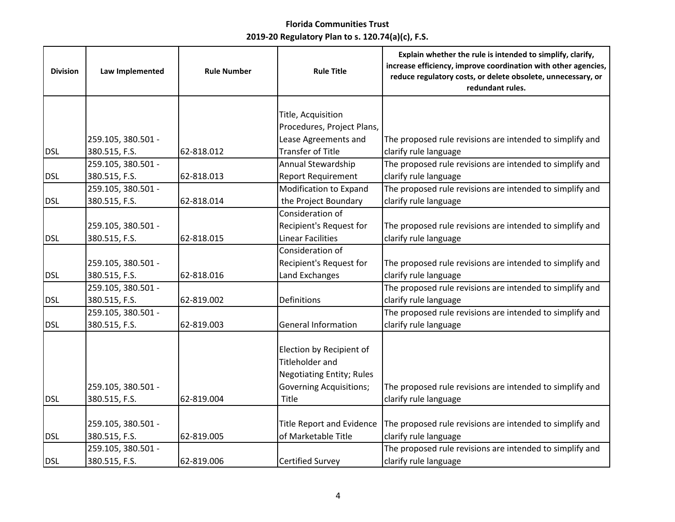| Title, Acquisition<br>Procedures, Project Plans,<br>Lease Agreements and<br>259.105, 380.501 -<br>The proposed rule revisions are intended to simplify and<br><b>Transfer of Title</b><br><b>DSL</b><br>clarify rule language<br>380.515, F.S.<br>62-818.012<br>The proposed rule revisions are intended to simplify and<br>259.105, 380.501 -<br>Annual Stewardship<br>380.515, F.S.<br><b>Report Requirement</b><br>clarify rule language<br><b>DSL</b><br>62-818.013<br>The proposed rule revisions are intended to simplify and<br>259.105, 380.501 -<br>Modification to Expand<br>the Project Boundary<br>clarify rule language<br><b>DSL</b><br>380.515, F.S.<br>62-818.014<br>Consideration of<br>259.105, 380.501 -<br>Recipient's Request for<br>The proposed rule revisions are intended to simplify and<br>380.515, F.S.<br>62-818.015<br><b>Linear Facilities</b><br>clarify rule language<br>Consideration of<br>Recipient's Request for<br>259.105, 380.501 -<br>The proposed rule revisions are intended to simplify and<br>62-818.016<br>Land Exchanges<br>clarify rule language<br>380.515, F.S.<br>The proposed rule revisions are intended to simplify and<br>259.105, 380.501 -<br>380.515, F.S.<br>Definitions<br>clarify rule language<br>62-819.002<br>The proposed rule revisions are intended to simplify and<br>259.105, 380.501 -<br><b>General Information</b><br>clarify rule language<br>380.515, F.S.<br>62-819.003<br>Election by Recipient of<br><b>Titleholder and</b><br><b>Negotiating Entity; Rules</b><br><b>Governing Acquisitions;</b><br>The proposed rule revisions are intended to simplify and<br>259.105, 380.501 -<br>Title<br>clarify rule language<br><b>DSL</b><br>380.515, F.S.<br>62-819.004<br><b>Title Report and Evidence</b><br>The proposed rule revisions are intended to simplify and<br>259.105, 380.501 -<br>of Marketable Title<br>380.515, F.S.<br>clarify rule language<br><b>DSL</b><br>62-819.005<br>The proposed rule revisions are intended to simplify and<br>259.105, 380.501 -<br>clarify rule language<br>380.515, F.S.<br>62-819.006<br><b>Certified Survey</b> | <b>Division</b> | Law Implemented | <b>Rule Number</b> | <b>Rule Title</b> | Explain whether the rule is intended to simplify, clarify,<br>increase efficiency, improve coordination with other agencies,<br>reduce regulatory costs, or delete obsolete, unnecessary, or<br>redundant rules. |
|-----------------------------------------------------------------------------------------------------------------------------------------------------------------------------------------------------------------------------------------------------------------------------------------------------------------------------------------------------------------------------------------------------------------------------------------------------------------------------------------------------------------------------------------------------------------------------------------------------------------------------------------------------------------------------------------------------------------------------------------------------------------------------------------------------------------------------------------------------------------------------------------------------------------------------------------------------------------------------------------------------------------------------------------------------------------------------------------------------------------------------------------------------------------------------------------------------------------------------------------------------------------------------------------------------------------------------------------------------------------------------------------------------------------------------------------------------------------------------------------------------------------------------------------------------------------------------------------------------------------------------------------------------------------------------------------------------------------------------------------------------------------------------------------------------------------------------------------------------------------------------------------------------------------------------------------------------------------------------------------------------------------------------------------------------------------------------------------------------------------------------------------|-----------------|-----------------|--------------------|-------------------|------------------------------------------------------------------------------------------------------------------------------------------------------------------------------------------------------------------|
|                                                                                                                                                                                                                                                                                                                                                                                                                                                                                                                                                                                                                                                                                                                                                                                                                                                                                                                                                                                                                                                                                                                                                                                                                                                                                                                                                                                                                                                                                                                                                                                                                                                                                                                                                                                                                                                                                                                                                                                                                                                                                                                                         |                 |                 |                    |                   |                                                                                                                                                                                                                  |
|                                                                                                                                                                                                                                                                                                                                                                                                                                                                                                                                                                                                                                                                                                                                                                                                                                                                                                                                                                                                                                                                                                                                                                                                                                                                                                                                                                                                                                                                                                                                                                                                                                                                                                                                                                                                                                                                                                                                                                                                                                                                                                                                         |                 |                 |                    |                   |                                                                                                                                                                                                                  |
|                                                                                                                                                                                                                                                                                                                                                                                                                                                                                                                                                                                                                                                                                                                                                                                                                                                                                                                                                                                                                                                                                                                                                                                                                                                                                                                                                                                                                                                                                                                                                                                                                                                                                                                                                                                                                                                                                                                                                                                                                                                                                                                                         |                 |                 |                    |                   |                                                                                                                                                                                                                  |
|                                                                                                                                                                                                                                                                                                                                                                                                                                                                                                                                                                                                                                                                                                                                                                                                                                                                                                                                                                                                                                                                                                                                                                                                                                                                                                                                                                                                                                                                                                                                                                                                                                                                                                                                                                                                                                                                                                                                                                                                                                                                                                                                         |                 |                 |                    |                   |                                                                                                                                                                                                                  |
|                                                                                                                                                                                                                                                                                                                                                                                                                                                                                                                                                                                                                                                                                                                                                                                                                                                                                                                                                                                                                                                                                                                                                                                                                                                                                                                                                                                                                                                                                                                                                                                                                                                                                                                                                                                                                                                                                                                                                                                                                                                                                                                                         |                 |                 |                    |                   |                                                                                                                                                                                                                  |
|                                                                                                                                                                                                                                                                                                                                                                                                                                                                                                                                                                                                                                                                                                                                                                                                                                                                                                                                                                                                                                                                                                                                                                                                                                                                                                                                                                                                                                                                                                                                                                                                                                                                                                                                                                                                                                                                                                                                                                                                                                                                                                                                         |                 |                 |                    |                   |                                                                                                                                                                                                                  |
|                                                                                                                                                                                                                                                                                                                                                                                                                                                                                                                                                                                                                                                                                                                                                                                                                                                                                                                                                                                                                                                                                                                                                                                                                                                                                                                                                                                                                                                                                                                                                                                                                                                                                                                                                                                                                                                                                                                                                                                                                                                                                                                                         |                 |                 |                    |                   |                                                                                                                                                                                                                  |
|                                                                                                                                                                                                                                                                                                                                                                                                                                                                                                                                                                                                                                                                                                                                                                                                                                                                                                                                                                                                                                                                                                                                                                                                                                                                                                                                                                                                                                                                                                                                                                                                                                                                                                                                                                                                                                                                                                                                                                                                                                                                                                                                         |                 |                 |                    |                   |                                                                                                                                                                                                                  |
|                                                                                                                                                                                                                                                                                                                                                                                                                                                                                                                                                                                                                                                                                                                                                                                                                                                                                                                                                                                                                                                                                                                                                                                                                                                                                                                                                                                                                                                                                                                                                                                                                                                                                                                                                                                                                                                                                                                                                                                                                                                                                                                                         |                 |                 |                    |                   |                                                                                                                                                                                                                  |
|                                                                                                                                                                                                                                                                                                                                                                                                                                                                                                                                                                                                                                                                                                                                                                                                                                                                                                                                                                                                                                                                                                                                                                                                                                                                                                                                                                                                                                                                                                                                                                                                                                                                                                                                                                                                                                                                                                                                                                                                                                                                                                                                         |                 |                 |                    |                   |                                                                                                                                                                                                                  |
|                                                                                                                                                                                                                                                                                                                                                                                                                                                                                                                                                                                                                                                                                                                                                                                                                                                                                                                                                                                                                                                                                                                                                                                                                                                                                                                                                                                                                                                                                                                                                                                                                                                                                                                                                                                                                                                                                                                                                                                                                                                                                                                                         |                 |                 |                    |                   |                                                                                                                                                                                                                  |
|                                                                                                                                                                                                                                                                                                                                                                                                                                                                                                                                                                                                                                                                                                                                                                                                                                                                                                                                                                                                                                                                                                                                                                                                                                                                                                                                                                                                                                                                                                                                                                                                                                                                                                                                                                                                                                                                                                                                                                                                                                                                                                                                         | <b>DSL</b>      |                 |                    |                   |                                                                                                                                                                                                                  |
|                                                                                                                                                                                                                                                                                                                                                                                                                                                                                                                                                                                                                                                                                                                                                                                                                                                                                                                                                                                                                                                                                                                                                                                                                                                                                                                                                                                                                                                                                                                                                                                                                                                                                                                                                                                                                                                                                                                                                                                                                                                                                                                                         |                 |                 |                    |                   |                                                                                                                                                                                                                  |
|                                                                                                                                                                                                                                                                                                                                                                                                                                                                                                                                                                                                                                                                                                                                                                                                                                                                                                                                                                                                                                                                                                                                                                                                                                                                                                                                                                                                                                                                                                                                                                                                                                                                                                                                                                                                                                                                                                                                                                                                                                                                                                                                         |                 |                 |                    |                   |                                                                                                                                                                                                                  |
|                                                                                                                                                                                                                                                                                                                                                                                                                                                                                                                                                                                                                                                                                                                                                                                                                                                                                                                                                                                                                                                                                                                                                                                                                                                                                                                                                                                                                                                                                                                                                                                                                                                                                                                                                                                                                                                                                                                                                                                                                                                                                                                                         | <b>DSL</b>      |                 |                    |                   |                                                                                                                                                                                                                  |
|                                                                                                                                                                                                                                                                                                                                                                                                                                                                                                                                                                                                                                                                                                                                                                                                                                                                                                                                                                                                                                                                                                                                                                                                                                                                                                                                                                                                                                                                                                                                                                                                                                                                                                                                                                                                                                                                                                                                                                                                                                                                                                                                         |                 |                 |                    |                   |                                                                                                                                                                                                                  |
|                                                                                                                                                                                                                                                                                                                                                                                                                                                                                                                                                                                                                                                                                                                                                                                                                                                                                                                                                                                                                                                                                                                                                                                                                                                                                                                                                                                                                                                                                                                                                                                                                                                                                                                                                                                                                                                                                                                                                                                                                                                                                                                                         | <b>DSL</b>      |                 |                    |                   |                                                                                                                                                                                                                  |
|                                                                                                                                                                                                                                                                                                                                                                                                                                                                                                                                                                                                                                                                                                                                                                                                                                                                                                                                                                                                                                                                                                                                                                                                                                                                                                                                                                                                                                                                                                                                                                                                                                                                                                                                                                                                                                                                                                                                                                                                                                                                                                                                         |                 |                 |                    |                   |                                                                                                                                                                                                                  |
|                                                                                                                                                                                                                                                                                                                                                                                                                                                                                                                                                                                                                                                                                                                                                                                                                                                                                                                                                                                                                                                                                                                                                                                                                                                                                                                                                                                                                                                                                                                                                                                                                                                                                                                                                                                                                                                                                                                                                                                                                                                                                                                                         | <b>DSL</b>      |                 |                    |                   |                                                                                                                                                                                                                  |
|                                                                                                                                                                                                                                                                                                                                                                                                                                                                                                                                                                                                                                                                                                                                                                                                                                                                                                                                                                                                                                                                                                                                                                                                                                                                                                                                                                                                                                                                                                                                                                                                                                                                                                                                                                                                                                                                                                                                                                                                                                                                                                                                         |                 |                 |                    |                   |                                                                                                                                                                                                                  |
|                                                                                                                                                                                                                                                                                                                                                                                                                                                                                                                                                                                                                                                                                                                                                                                                                                                                                                                                                                                                                                                                                                                                                                                                                                                                                                                                                                                                                                                                                                                                                                                                                                                                                                                                                                                                                                                                                                                                                                                                                                                                                                                                         |                 |                 |                    |                   |                                                                                                                                                                                                                  |
|                                                                                                                                                                                                                                                                                                                                                                                                                                                                                                                                                                                                                                                                                                                                                                                                                                                                                                                                                                                                                                                                                                                                                                                                                                                                                                                                                                                                                                                                                                                                                                                                                                                                                                                                                                                                                                                                                                                                                                                                                                                                                                                                         |                 |                 |                    |                   |                                                                                                                                                                                                                  |
|                                                                                                                                                                                                                                                                                                                                                                                                                                                                                                                                                                                                                                                                                                                                                                                                                                                                                                                                                                                                                                                                                                                                                                                                                                                                                                                                                                                                                                                                                                                                                                                                                                                                                                                                                                                                                                                                                                                                                                                                                                                                                                                                         |                 |                 |                    |                   |                                                                                                                                                                                                                  |
|                                                                                                                                                                                                                                                                                                                                                                                                                                                                                                                                                                                                                                                                                                                                                                                                                                                                                                                                                                                                                                                                                                                                                                                                                                                                                                                                                                                                                                                                                                                                                                                                                                                                                                                                                                                                                                                                                                                                                                                                                                                                                                                                         |                 |                 |                    |                   |                                                                                                                                                                                                                  |
|                                                                                                                                                                                                                                                                                                                                                                                                                                                                                                                                                                                                                                                                                                                                                                                                                                                                                                                                                                                                                                                                                                                                                                                                                                                                                                                                                                                                                                                                                                                                                                                                                                                                                                                                                                                                                                                                                                                                                                                                                                                                                                                                         |                 |                 |                    |                   |                                                                                                                                                                                                                  |
|                                                                                                                                                                                                                                                                                                                                                                                                                                                                                                                                                                                                                                                                                                                                                                                                                                                                                                                                                                                                                                                                                                                                                                                                                                                                                                                                                                                                                                                                                                                                                                                                                                                                                                                                                                                                                                                                                                                                                                                                                                                                                                                                         | <b>DSL</b>      |                 |                    |                   |                                                                                                                                                                                                                  |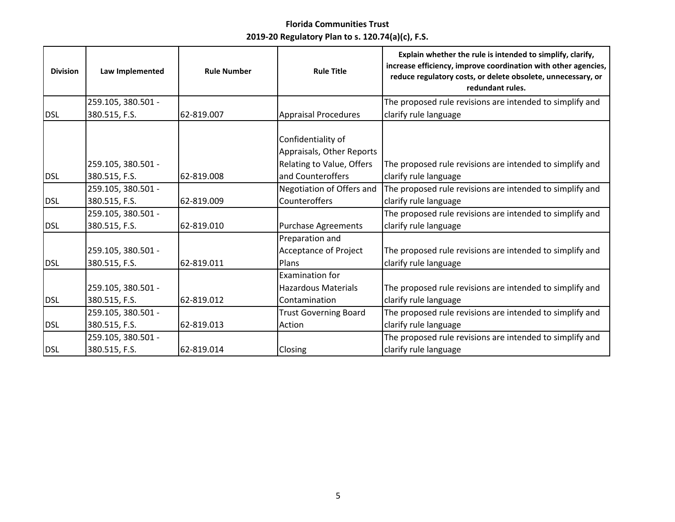| <b>Division</b> | Law Implemented                     | <b>Rule Number</b> | <b>Rule Title</b>                                                                                 | Explain whether the rule is intended to simplify, clarify,<br>increase efficiency, improve coordination with other agencies,<br>reduce regulatory costs, or delete obsolete, unnecessary, or<br>redundant rules. |
|-----------------|-------------------------------------|--------------------|---------------------------------------------------------------------------------------------------|------------------------------------------------------------------------------------------------------------------------------------------------------------------------------------------------------------------|
|                 | 259.105, 380.501 -                  |                    |                                                                                                   | The proposed rule revisions are intended to simplify and                                                                                                                                                         |
| <b>DSL</b>      | 380.515, F.S.                       | 62-819.007         | <b>Appraisal Procedures</b>                                                                       | clarify rule language                                                                                                                                                                                            |
| <b>DSL</b>      | 259.105, 380.501 -<br>380.515, F.S. | 62-819.008         | Confidentiality of<br>Appraisals, Other Reports<br>Relating to Value, Offers<br>and Counteroffers | The proposed rule revisions are intended to simplify and<br>clarify rule language                                                                                                                                |
|                 | 259.105, 380.501 -                  |                    | Negotiation of Offers and                                                                         | The proposed rule revisions are intended to simplify and                                                                                                                                                         |
| <b>DSL</b>      | 380.515, F.S.                       | 62-819.009         | Counteroffers                                                                                     | clarify rule language                                                                                                                                                                                            |
|                 | 259.105, 380.501 -                  |                    |                                                                                                   | The proposed rule revisions are intended to simplify and                                                                                                                                                         |
| <b>DSL</b>      | 380.515, F.S.                       | 62-819.010         | <b>Purchase Agreements</b>                                                                        | clarify rule language                                                                                                                                                                                            |
| <b>DSL</b>      | 259.105, 380.501 -<br>380.515, F.S. | 62-819.011         | Preparation and<br>Acceptance of Project<br>Plans                                                 | The proposed rule revisions are intended to simplify and<br>clarify rule language                                                                                                                                |
|                 | 259.105, 380.501 -                  |                    | <b>Examination for</b><br><b>Hazardous Materials</b>                                              | The proposed rule revisions are intended to simplify and                                                                                                                                                         |
| <b>DSL</b>      | 380.515, F.S.                       | 62-819.012         | Contamination                                                                                     | clarify rule language                                                                                                                                                                                            |
|                 | 259.105, 380.501 -                  |                    | <b>Trust Governing Board</b>                                                                      | The proposed rule revisions are intended to simplify and                                                                                                                                                         |
| <b>DSL</b>      | 380.515, F.S.                       | 62-819.013         | Action                                                                                            | clarify rule language                                                                                                                                                                                            |
| <b>DSL</b>      | 259.105, 380.501 -<br>380.515, F.S. | 62-819.014         | Closing                                                                                           | The proposed rule revisions are intended to simplify and<br>clarify rule language                                                                                                                                |